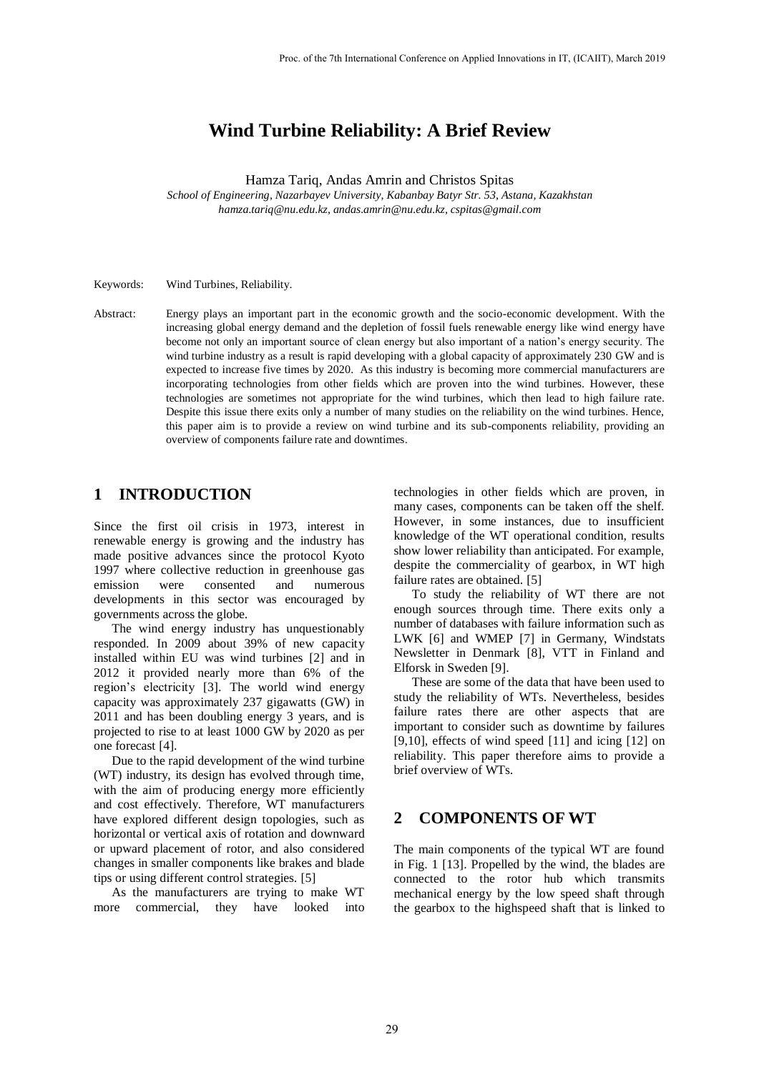# **Wind Turbine Reliability: A Brief Review**

Hamza Tariq, Andas Amrin and Christos Spitas

*School of Engineering, Nazarbayev University, Kabanbay Batyr Str. 53, Astana, Kazakhstan hamza.tariq@nu.edu.kz, andas.amrin@nu.edu.kz, cspitas@gmail.com*

Keywords: Wind Turbines, Reliability.

Abstract: Energy plays an important part in the economic growth and the socio-economic development. With the increasing global energy demand and the depletion of fossil fuels renewable energy like wind energy have become not only an important source of clean energy but also important of a nation's energy security. The wind turbine industry as a result is rapid developing with a global capacity of approximately 230 GW and is expected to increase five times by 2020. As this industry is becoming more commercial manufacturers are incorporating technologies from other fields which are proven into the wind turbines. However, these technologies are sometimes not appropriate for the wind turbines, which then lead to high failure rate. Despite this issue there exits only a number of many studies on the reliability on the wind turbines. Hence, this paper aim is to provide a review on wind turbine and its sub-components reliability, providing an overview of components failure rate and downtimes.

### **1 INTRODUCTION**

Since the first oil crisis in 1973, interest in renewable energy is growing and the industry has made positive advances since the protocol Kyoto 1997 where collective reduction in greenhouse gas emission were consented and numerous developments in this sector was encouraged by governments across the globe.

The wind energy industry has unquestionably responded. In 2009 about 39% of new capacity installed within EU was wind turbines [2] and in 2012 it provided nearly more than 6% of the region's electricity [3]. The world wind energy capacity was approximately 237 gigawatts (GW) in 2011 and has been doubling energy 3 years, and is projected to rise to at least 1000 GW by 2020 as per one forecast [4].

Due to the rapid development of the wind turbine (WT) industry, its design has evolved through time, with the aim of producing energy more efficiently and cost effectively. Therefore, WT manufacturers have explored different design topologies, such as horizontal or vertical axis of rotation and downward or upward placement of rotor, and also considered changes in smaller components like brakes and blade tips or using different control strategies. [5]

As the manufacturers are trying to make WT more commercial, they have looked into

technologies in other fields which are proven, in many cases, components can be taken off the shelf. However, in some instances, due to insufficient knowledge of the WT operational condition, results show lower reliability than anticipated. For example, despite the commerciality of gearbox, in WT high failure rates are obtained. [5]

To study the reliability of WT there are not enough sources through time. There exits only a number of databases with failure information such as LWK [6] and WMEP [7] in Germany, Windstats Newsletter in Denmark [8], VTT in Finland and Elforsk in Sweden [9].

These are some of the data that have been used to study the reliability of WTs. Nevertheless, besides failure rates there are other aspects that are important to consider such as downtime by failures [9,10], effects of wind speed [11] and icing [12] on reliability. This paper therefore aims to provide a brief overview of WTs.

### **2 COMPONENTS OF WT**

The main components of the typical WT are found in Fig. 1 [13]. Propelled by the wind, the blades are connected to the rotor hub which transmits mechanical energy by the low speed shaft through the gearbox to the highspeed shaft that is linked to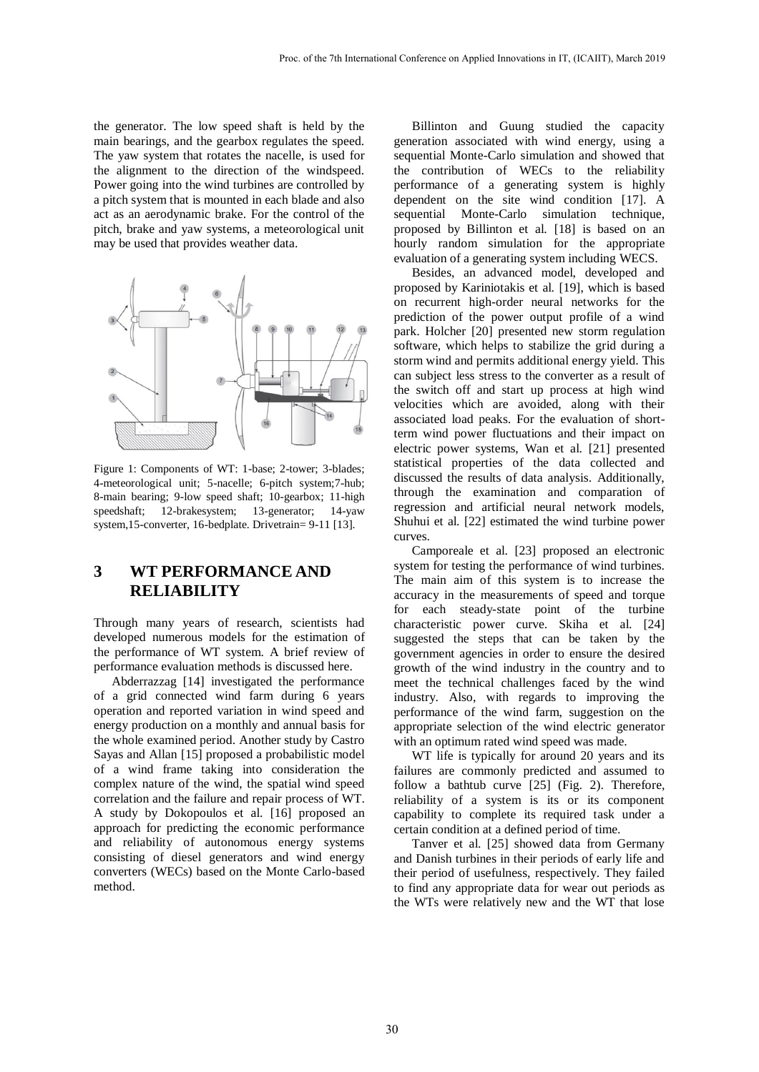the generator. The low speed shaft is held by the main bearings, and the gearbox regulates the speed. The yaw system that rotates the nacelle, is used for the alignment to the direction of the windspeed. Power going into the wind turbines are controlled by a pitch system that is mounted in each blade and also act as an aerodynamic brake. For the control of the pitch, brake and yaw systems, a meteorological unit may be used that provides weather data.



Figure 1: Components of WT: 1-base; 2-tower; 3-blades; 4-meteorological unit; 5-nacelle; 6-pitch system;7-hub; 8-main bearing; 9-low speed shaft; 10-gearbox; 11-high speedshaft; 12-brakesystem; 13-generator; 14-yaw system,15-converter, 16-bedplate. Drivetrain= 9-11 [13].

## **3 WT PERFORMANCE AND RELIABILITY**

Through many years of research, scientists had developed numerous models for the estimation of the performance of WT system. A brief review of performance evaluation methods is discussed here.

Abderrazzag [14] investigated the performance of a grid connected wind farm during 6 years operation and reported variation in wind speed and energy production on a monthly and annual basis for the whole examined period. Another study by Castro Sayas and Allan [15] proposed a probabilistic model of a wind frame taking into consideration the complex nature of the wind, the spatial wind speed correlation and the failure and repair process of WT. A study by Dokopoulos et al. [16] proposed an approach for predicting the economic performance and reliability of autonomous energy systems consisting of diesel generators and wind energy converters (WECs) based on the Monte Carlo-based method.

Billinton and Guung studied the capacity generation associated with wind energy, using a sequential Monte-Carlo simulation and showed that the contribution of WECs to the reliability performance of a generating system is highly dependent on the site wind condition [17]. A sequential Monte-Carlo simulation technique, proposed by Billinton et al. [18] is based on an hourly random simulation for the appropriate evaluation of a generating system including WECS.

Besides, an advanced model, developed and proposed by Kariniotakis et al. [19], which is based on recurrent high-order neural networks for the prediction of the power output profile of a wind park. Holcher [20] presented new storm regulation software, which helps to stabilize the grid during a storm wind and permits additional energy yield. This can subject less stress to the converter as a result of the switch off and start up process at high wind velocities which are avoided, along with their associated load peaks. For the evaluation of shortterm wind power fluctuations and their impact on electric power systems, Wan et al. [21] presented statistical properties of the data collected and discussed the results of data analysis. Additionally, through the examination and comparation of regression and artificial neural network models, Shuhui et al. [22] estimated the wind turbine power curves.

Camporeale et al. [23] proposed an electronic system for testing the performance of wind turbines. The main aim of this system is to increase the accuracy in the measurements of speed and torque for each steady-state point of the turbine characteristic power curve. Skiha et al. [24] suggested the steps that can be taken by the government agencies in order to ensure the desired growth of the wind industry in the country and to meet the technical challenges faced by the wind industry. Also, with regards to improving the performance of the wind farm, suggestion on the appropriate selection of the wind electric generator with an optimum rated wind speed was made.

WT life is typically for around 20 years and its failures are commonly predicted and assumed to follow a bathtub curve [25] (Fig. 2). Therefore, reliability of a system is its or its component capability to complete its required task under a certain condition at a defined period of time.

Tanver et al. [25] showed data from Germany and Danish turbines in their periods of early life and their period of usefulness, respectively. They failed to find any appropriate data for wear out periods as the WTs were relatively new and the WT that lose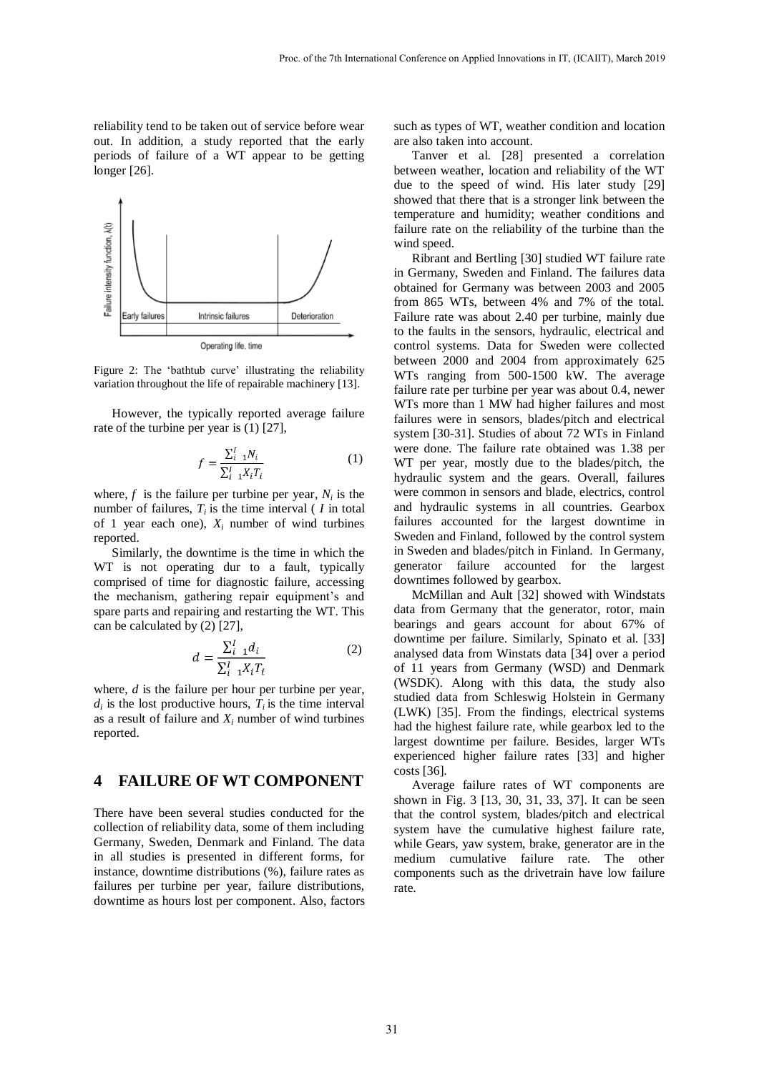reliability tend to be taken out of service before wear out. In addition, a study reported that the early periods of failure of a WT appear to be getting longer [26].



Figure 2: The 'bathtub curve' illustrating the reliability variation throughout the life of repairable machinery [13].

However, the typically reported average failure rate of the turbine per year is (1) [27],

$$
f = \frac{\sum_{i=1}^{I} N_i}{\sum_{i=1}^{I} X_i T_i}
$$
 (1)

where,  $f$  is the failure per turbine per year,  $N_i$  is the number of failures,  $T_i$  is the time interval ( $I$  in total of 1 year each one),  $X_i$  number of wind turbines reported.

Similarly, the downtime is the time in which the WT is not operating dur to a fault, typically comprised of time for diagnostic failure, accessing the mechanism, gathering repair equipment's and spare parts and repairing and restarting the WT. This can be calculated by (2) [27],

$$
d = \frac{\sum_{i=1}^{I} d_i}{\sum_{i=1}^{I} X_i T_i}
$$
 (2)

where, *d* is the failure per hour per turbine per year,  $d_i$  is the lost productive hours,  $T_i$  is the time interval as a result of failure and  $X_i$  number of wind turbines reported.

### **4 FAILURE OF WT COMPONENT**

There have been several studies conducted for the collection of reliability data, some of them including Germany, Sweden, Denmark and Finland. The data in all studies is presented in different forms, for instance, downtime distributions (%), failure rates as failures per turbine per year, failure distributions, downtime as hours lost per component. Also, factors such as types of WT, weather condition and location are also taken into account.

Tanver et al. [28] presented a correlation between weather, location and reliability of the WT due to the speed of wind. His later study [29] showed that there that is a stronger link between the temperature and humidity; weather conditions and failure rate on the reliability of the turbine than the wind speed.

Ribrant and Bertling [30] studied WT failure rate in Germany, Sweden and Finland. The failures data obtained for Germany was between 2003 and 2005 from 865 WTs, between 4% and 7% of the total. Failure rate was about 2.40 per turbine, mainly due to the faults in the sensors, hydraulic, electrical and control systems. Data for Sweden were collected between 2000 and 2004 from approximately 625 WTs ranging from 500-1500 kW. The average failure rate per turbine per year was about 0.4, newer WTs more than 1 MW had higher failures and most failures were in sensors, blades/pitch and electrical system [30-31]. Studies of about 72 WTs in Finland were done. The failure rate obtained was 1.38 per WT per year, mostly due to the blades/pitch, the hydraulic system and the gears. Overall, failures were common in sensors and blade, electrics, control and hydraulic systems in all countries. Gearbox failures accounted for the largest downtime in Sweden and Finland, followed by the control system in Sweden and blades/pitch in Finland. In Germany, generator failure accounted for the largest downtimes followed by gearbox.

McMillan and Ault [32] showed with Windstats data from Germany that the generator, rotor, main bearings and gears account for about 67% of downtime per failure. Similarly, Spinato et al. [33] analysed data from Winstats data [34] over a period of 11 years from Germany (WSD) and Denmark (WSDK). Along with this data, the study also studied data from Schleswig Holstein in Germany (LWK) [35]. From the findings, electrical systems had the highest failure rate, while gearbox led to the largest downtime per failure. Besides, larger WTs experienced higher failure rates [33] and higher costs [36].

Average failure rates of WT components are shown in Fig. 3 [13, 30, 31, 33, 37]. It can be seen that the control system, blades/pitch and electrical system have the cumulative highest failure rate, while Gears, yaw system, brake, generator are in the medium cumulative failure rate. The other components such as the drivetrain have low failure rate.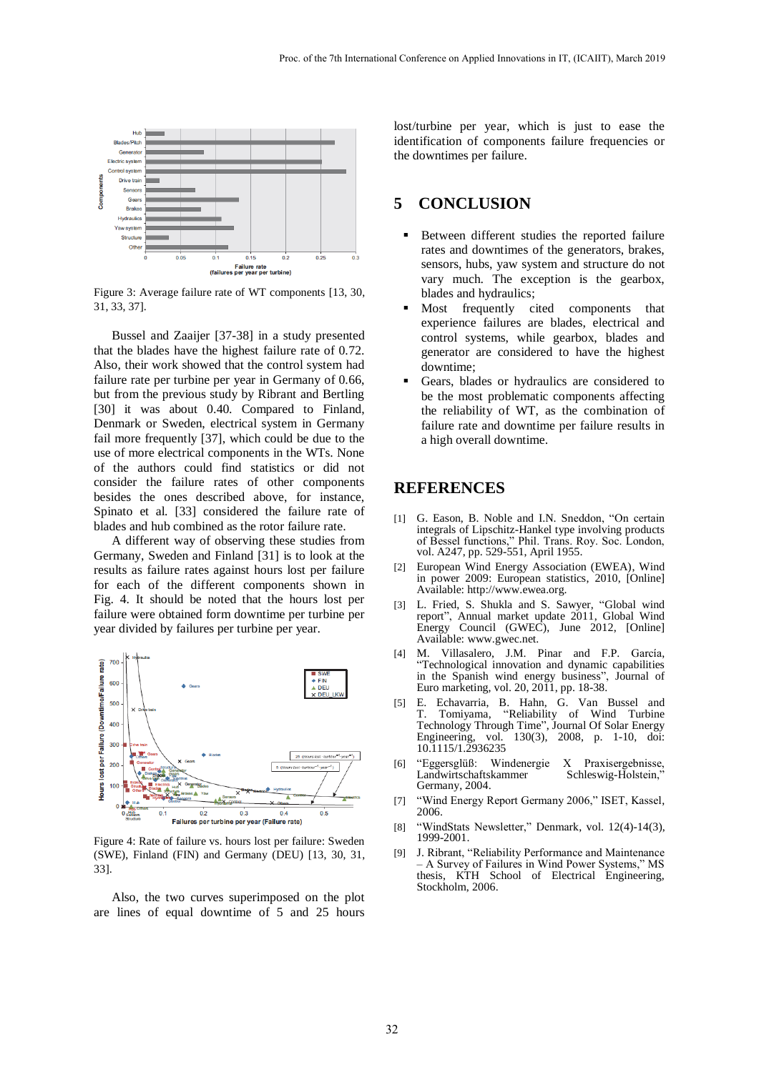

Figure 3: Average failure rate of WT components [13, 30, 31, 33, 37].

Bussel and Zaaijer [37-38] in a study presented that the blades have the highest failure rate of 0.72. Also, their work showed that the control system had failure rate per turbine per year in Germany of 0.66, but from the previous study by Ribrant and Bertling [30] it was about 0.40. Compared to Finland, Denmark or Sweden, electrical system in Germany fail more frequently [37], which could be due to the use of more electrical components in the WTs. None of the authors could find statistics or did not consider the failure rates of other components besides the ones described above, for instance, Spinato et al. [33] considered the failure rate of blades and hub combined as the rotor failure rate.

A different way of observing these studies from Germany, Sweden and Finland [31] is to look at the results as failure rates against hours lost per failure for each of the different components shown in Fig. 4. It should be noted that the hours lost per failure were obtained form downtime per turbine per year divided by failures per turbine per year.



Figure 4: Rate of failure vs. hours lost per failure: Sweden (SWE), Finland (FIN) and Germany (DEU) [13, 30, 31, 33].

Also, the two curves superimposed on the plot are lines of equal downtime of 5 and 25 hours

lost/turbine per year, which is just to ease the identification of components failure frequencies or the downtimes per failure.

### **5 CONCLUSION**

- Between different studies the reported failure rates and downtimes of the generators, brakes, sensors, hubs, yaw system and structure do not vary much. The exception is the gearbox, blades and hydraulics;
- Most frequently cited components that experience failures are blades, electrical and control systems, while gearbox, blades and generator are considered to have the highest downtime;
- Gears, blades or hydraulics are considered to be the most problematic components affecting the reliability of WT, as the combination of failure rate and downtime per failure results in a high overall downtime.

### **REFERENCES**

- [1] G. Eason, B. Noble and I.N. Sneddon, "On certain integrals of Lipschitz-Hankel type involving products of Bessel functions," Phil. Trans. Roy. Soc. London, vol. A247, pp. 529-551, April 1955.
- [2] European Wind Energy Association (EWEA), Wind in power 2009: European statistics, 2010, [Online] Available: http://www.ewea.org.
- [3] L. Fried, S. Shukla and S. Sawyer, "Global wind report", Annual market update 2011, Global Wind Energy Council (GWEC), June 2012, [Online] Available: www.gwec.net.
- [4] M. Villasalero, J.M. Pinar and F.P. García, "Technological innovation and dynamic capabilities in the Spanish wind energy business", Journal of Euro marketing, vol. 20, 2011, pp. 18-38.
- [5] E. Echavarria, B. Hahn, G. Van Bussel and "Reliability of Wind Turbine Technology Through Time", Journal Of Solar Energy<br>Engineering, vol. 130(3), 2008, p. 1-10, doi: vol. 130(3), 2008, p. 1-10, doi: 10.1115/1.2936235
- [6] "Eggersglüß: Windenergie X Praxisergebnisse, Landwirtschaftskammer Germany, 2004.
- [7] "Wind Energy Report Germany 2006," ISET, Kassel, 2006.
- [8] "WindStats Newsletter," Denmark, vol. 12(4)-14(3), 1999-2001.
- [9] J. Ribrant, "Reliability Performance and Maintenance – A Survey of Failures in Wind Power Systems," MS thesis, KTH School of Electrical Engineering, Stockholm, 2006.